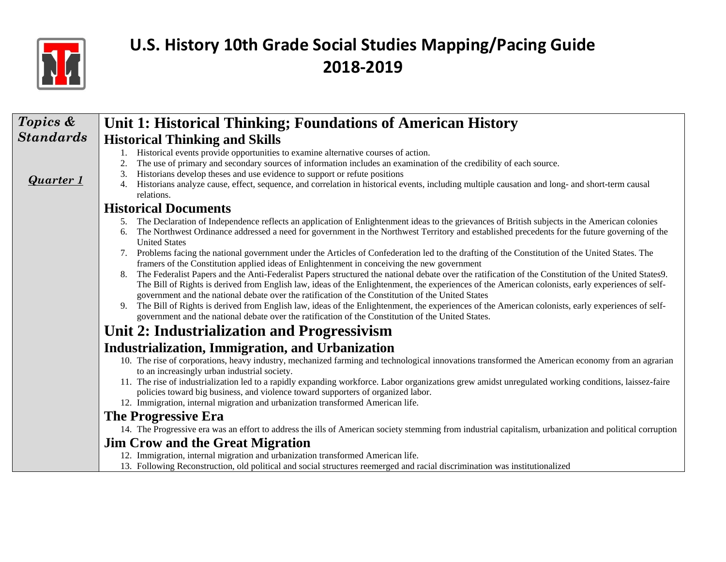

| Topics &         | Unit 1: Historical Thinking; Foundations of American History                                                                                                                                                                                                                                                                                                                                                                                                     |
|------------------|------------------------------------------------------------------------------------------------------------------------------------------------------------------------------------------------------------------------------------------------------------------------------------------------------------------------------------------------------------------------------------------------------------------------------------------------------------------|
| <b>Standards</b> | <b>Historical Thinking and Skills</b>                                                                                                                                                                                                                                                                                                                                                                                                                            |
| <b>Quarter 1</b> | Historical events provide opportunities to examine alternative courses of action.<br>The use of primary and secondary sources of information includes an examination of the credibility of each source.<br>2.<br>Historians develop theses and use evidence to support or refute positions<br>Historians analyze cause, effect, sequence, and correlation in historical events, including multiple causation and long- and short-term causal<br>4.<br>relations. |
|                  | <b>Historical Documents</b>                                                                                                                                                                                                                                                                                                                                                                                                                                      |
|                  | 5. The Declaration of Independence reflects an application of Enlightenment ideas to the grievances of British subjects in the American colonies<br>The Northwest Ordinance addressed a need for government in the Northwest Territory and established precedents for the future governing of the<br>6.<br><b>United States</b>                                                                                                                                  |
|                  | Problems facing the national government under the Articles of Confederation led to the drafting of the Constitution of the United States. The<br>framers of the Constitution applied ideas of Enlightenment in conceiving the new government                                                                                                                                                                                                                     |
|                  | The Federalist Papers and the Anti-Federalist Papers structured the national debate over the ratification of the Constitution of the United States9.<br>The Bill of Rights is derived from English law, ideas of the Enlightenment, the experiences of the American colonists, early experiences of self-<br>government and the national debate over the ratification of the Constitution of the United States                                                   |
|                  | The Bill of Rights is derived from English law, ideas of the Enlightenment, the experiences of the American colonists, early experiences of self-<br>9.<br>government and the national debate over the ratification of the Constitution of the United States.                                                                                                                                                                                                    |
|                  | Unit 2: Industrialization and Progressivism                                                                                                                                                                                                                                                                                                                                                                                                                      |
|                  | Industrialization, Immigration, and Urbanization                                                                                                                                                                                                                                                                                                                                                                                                                 |
|                  | 10. The rise of corporations, heavy industry, mechanized farming and technological innovations transformed the American economy from an agrarian<br>to an increasingly urban industrial society.                                                                                                                                                                                                                                                                 |
|                  | 11. The rise of industrialization led to a rapidly expanding workforce. Labor organizations grew amidst unregulated working conditions, laissez-faire<br>policies toward big business, and violence toward supporters of organized labor.                                                                                                                                                                                                                        |
|                  | 12. Immigration, internal migration and urbanization transformed American life.                                                                                                                                                                                                                                                                                                                                                                                  |
|                  | <b>The Progressive Era</b><br>14. The Progressive era was an effort to address the ills of American society stemming from industrial capitalism, urbanization and political corruption                                                                                                                                                                                                                                                                           |
|                  | <b>Jim Crow and the Great Migration</b>                                                                                                                                                                                                                                                                                                                                                                                                                          |
|                  | 12. Immigration, internal migration and urbanization transformed American life.                                                                                                                                                                                                                                                                                                                                                                                  |
|                  | 13. Following Reconstruction, old political and social structures reemerged and racial discrimination was institutionalized                                                                                                                                                                                                                                                                                                                                      |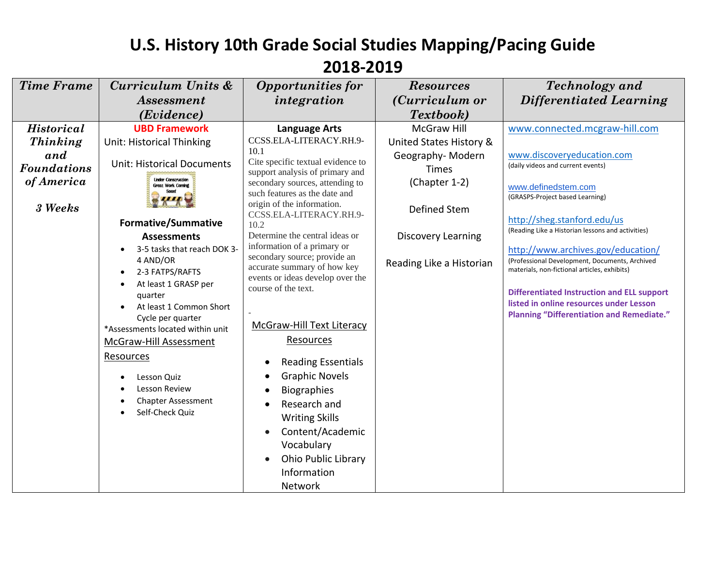| <b>Time Frame</b>  | Curriculum Units &                                    | <b>Opportunities for</b>                                    | <b>Resources</b>         | <b>Technology</b> and                                                                          |
|--------------------|-------------------------------------------------------|-------------------------------------------------------------|--------------------------|------------------------------------------------------------------------------------------------|
|                    | <b>Assessment</b>                                     | integration                                                 | (Curriculum or           | Differentiated Learning                                                                        |
|                    | (Evidence)                                            |                                                             | Textbook)                |                                                                                                |
| <b>Historical</b>  | <b>UBD Framework</b>                                  | <b>Language Arts</b>                                        | <b>McGraw Hill</b>       | www.connected.mcgraw-hill.com                                                                  |
| Thinking           | Unit: Historical Thinking                             | CCSS.ELA-LITERACY.RH.9-                                     | United States History &  |                                                                                                |
| and                | <b>Unit: Historical Documents</b>                     | 10.1<br>Cite specific textual evidence to                   | Geography-Modern         | www.discoveryeducation.com                                                                     |
| <b>Foundations</b> |                                                       | support analysis of primary and                             | <b>Times</b>             | (daily videos and current events)                                                              |
| of America         | <b>Under Construction</b><br><b>Great Work Coming</b> | secondary sources, attending to                             | (Chapter 1-2)            | www.definedstem.com                                                                            |
|                    |                                                       | such features as the date and<br>origin of the information. |                          | (GRASPS-Project based Learning)                                                                |
| 3 Weeks            |                                                       | CCSS.ELA-LITERACY.RH.9-                                     | Defined Stem             |                                                                                                |
|                    | <b>Formative/Summative</b>                            | 10.2                                                        |                          | http://sheg.stanford.edu/us<br>(Reading Like a Historian lessons and activities)               |
|                    | <b>Assessments</b>                                    | Determine the central ideas or                              | Discovery Learning       |                                                                                                |
|                    | 3-5 tasks that reach DOK 3-                           | information of a primary or<br>secondary source; provide an |                          | http://www.archives.gov/education/                                                             |
|                    | 4 AND/OR<br>2-3 FATPS/RAFTS                           | accurate summary of how key                                 | Reading Like a Historian | (Professional Development, Documents, Archived<br>materials, non-fictional articles, exhibits) |
|                    | At least 1 GRASP per                                  | events or ideas develop over the                            |                          |                                                                                                |
|                    | quarter                                               | course of the text.                                         |                          | <b>Differentiated Instruction and ELL support</b>                                              |
|                    | At least 1 Common Short                               |                                                             |                          | listed in online resources under Lesson                                                        |
|                    | Cycle per quarter                                     | McGraw-Hill Text Literacy                                   |                          | <b>Planning "Differentiation and Remediate."</b>                                               |
|                    | *Assessments located within unit                      | Resources                                                   |                          |                                                                                                |
|                    | <b>McGraw-Hill Assessment</b>                         |                                                             |                          |                                                                                                |
|                    | Resources                                             | <b>Reading Essentials</b>                                   |                          |                                                                                                |
|                    | Lesson Quiz                                           | <b>Graphic Novels</b>                                       |                          |                                                                                                |
|                    | Lesson Review                                         | <b>Biographies</b>                                          |                          |                                                                                                |
|                    | <b>Chapter Assessment</b>                             | Research and                                                |                          |                                                                                                |
|                    | Self-Check Quiz                                       | <b>Writing Skills</b>                                       |                          |                                                                                                |
|                    |                                                       | Content/Academic                                            |                          |                                                                                                |
|                    |                                                       | Vocabulary                                                  |                          |                                                                                                |
|                    |                                                       | <b>Ohio Public Library</b>                                  |                          |                                                                                                |
|                    |                                                       | Information                                                 |                          |                                                                                                |
|                    |                                                       | Network                                                     |                          |                                                                                                |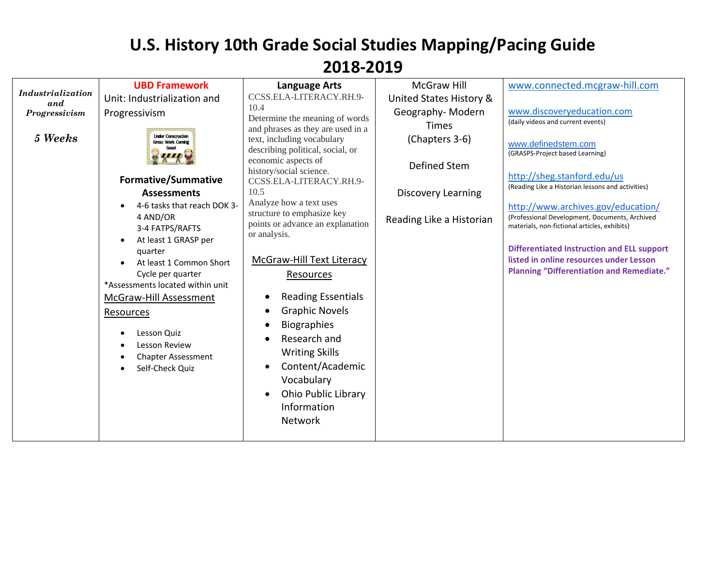| Industrialization<br>and<br>Progressivism<br>5 Weeks | <b>UBD Framework</b><br>Unit: Industrialization and<br>Progressivism<br><b>Under Construction</b><br>Great Work Coming<br><b>Formative/Summative</b><br><b>Assessments</b><br>4-6 tasks that reach DOK 3-<br>4 AND/OR<br>3-4 FATPS/RAFTS<br>At least 1 GRASP per<br>quarter<br>At least 1 Common Short<br>Cycle per quarter<br>*Assessments located within unit<br>McGraw-Hill Assessment<br>Resources<br>Lesson Quiz<br>Lesson Review<br><b>Chapter Assessment</b><br>Self-Check Quiz | <b>Language Arts</b><br>CCSS.ELA-LITERACY.RH.9-<br>10.4<br>Determine the meaning of words<br>and phrases as they are used in a<br>text, including vocabulary<br>describing political, social, or<br>economic aspects of<br>history/social science.<br>CCSS.ELA-LITERACY.RH.9-<br>10.5<br>Analyze how a text uses<br>structure to emphasize key<br>points or advance an explanation<br>or analysis.<br>McGraw-Hill Text Literacy<br><u>Resources</u><br><b>Reading Essentials</b><br><b>Graphic Novels</b><br><b>Biographies</b><br>Research and<br><b>Writing Skills</b><br>Content/Academic<br>$\bullet$<br>Vocabulary<br>Ohio Public Library<br>Information | <b>McGraw Hill</b><br>United States History &<br>Geography-Modern<br><b>Times</b><br>(Chapters 3-6)<br>Defined Stem<br><b>Discovery Learning</b><br>Reading Like a Historian | www.connected.mcgraw-hill.com<br>www.discoveryeducation.com<br>(daily videos and current events)<br>www.definedstem.com<br>(GRASPS-Project based Learning)<br>http://sheg.stanford.edu/us<br>(Reading Like a Historian lessons and activities)<br>http://www.archives.gov/education/<br>(Professional Development, Documents, Archived<br>materials, non-fictional articles, exhibits)<br><b>Differentiated Instruction and ELL support</b><br>listed in online resources under Lesson<br><b>Planning "Differentiation and Remediate."</b> |
|------------------------------------------------------|----------------------------------------------------------------------------------------------------------------------------------------------------------------------------------------------------------------------------------------------------------------------------------------------------------------------------------------------------------------------------------------------------------------------------------------------------------------------------------------|---------------------------------------------------------------------------------------------------------------------------------------------------------------------------------------------------------------------------------------------------------------------------------------------------------------------------------------------------------------------------------------------------------------------------------------------------------------------------------------------------------------------------------------------------------------------------------------------------------------------------------------------------------------|------------------------------------------------------------------------------------------------------------------------------------------------------------------------------|--------------------------------------------------------------------------------------------------------------------------------------------------------------------------------------------------------------------------------------------------------------------------------------------------------------------------------------------------------------------------------------------------------------------------------------------------------------------------------------------------------------------------------------------|
|                                                      |                                                                                                                                                                                                                                                                                                                                                                                                                                                                                        | Network                                                                                                                                                                                                                                                                                                                                                                                                                                                                                                                                                                                                                                                       |                                                                                                                                                                              |                                                                                                                                                                                                                                                                                                                                                                                                                                                                                                                                            |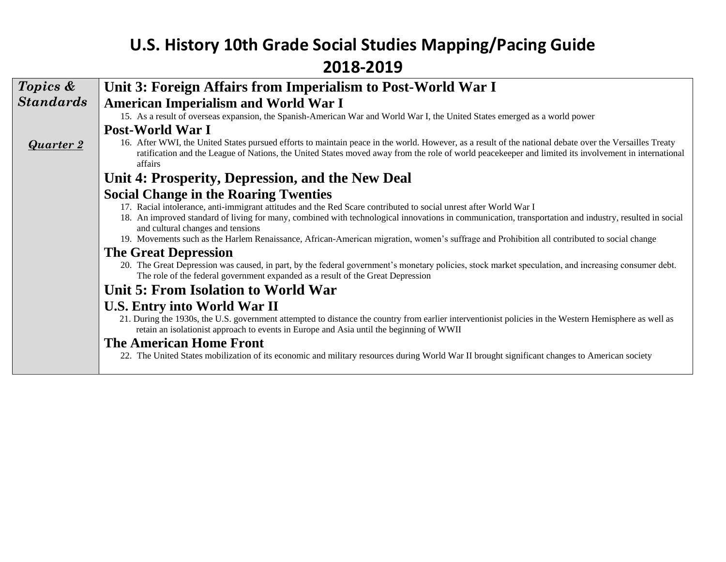| Topics &         | Unit 3: Foreign Affairs from Imperialism to Post-World War I                                                                                                                                                                                                                                                               |
|------------------|----------------------------------------------------------------------------------------------------------------------------------------------------------------------------------------------------------------------------------------------------------------------------------------------------------------------------|
| <b>Standards</b> | <b>American Imperialism and World War I</b>                                                                                                                                                                                                                                                                                |
|                  | 15. As a result of overseas expansion, the Spanish-American War and World War I, the United States emerged as a world power                                                                                                                                                                                                |
|                  | Post-World War I                                                                                                                                                                                                                                                                                                           |
| <b>Quarter 2</b> | 16. After WWI, the United States pursued efforts to maintain peace in the world. However, as a result of the national debate over the Versailles Treaty<br>ratification and the League of Nations, the United States moved away from the role of world peacekeeper and limited its involvement in international<br>affairs |
|                  | Unit 4: Prosperity, Depression, and the New Deal                                                                                                                                                                                                                                                                           |
|                  | <b>Social Change in the Roaring Twenties</b>                                                                                                                                                                                                                                                                               |
|                  | 17. Racial intolerance, anti-immigrant attitudes and the Red Scare contributed to social unrest after World War I<br>18. An improved standard of living for many, combined with technological innovations in communication, transportation and industry, resulted in social<br>and cultural changes and tensions           |
|                  | 19. Movements such as the Harlem Renaissance, African-American migration, women's suffrage and Prohibition all contributed to social change                                                                                                                                                                                |
|                  | <b>The Great Depression</b>                                                                                                                                                                                                                                                                                                |
|                  | 20. The Great Depression was caused, in part, by the federal government's monetary policies, stock market speculation, and increasing consumer debt.<br>The role of the federal government expanded as a result of the Great Depression                                                                                    |
|                  | Unit 5: From Isolation to World War                                                                                                                                                                                                                                                                                        |
|                  | <b>U.S. Entry into World War II</b>                                                                                                                                                                                                                                                                                        |
|                  | 21. During the 1930s, the U.S. government attempted to distance the country from earlier interventionist policies in the Western Hemisphere as well as<br>retain an isolationist approach to events in Europe and Asia until the beginning of WWII                                                                         |
|                  | <b>The American Home Front</b>                                                                                                                                                                                                                                                                                             |
|                  | 22. The United States mobilization of its economic and military resources during World War II brought significant changes to American society                                                                                                                                                                              |
|                  |                                                                                                                                                                                                                                                                                                                            |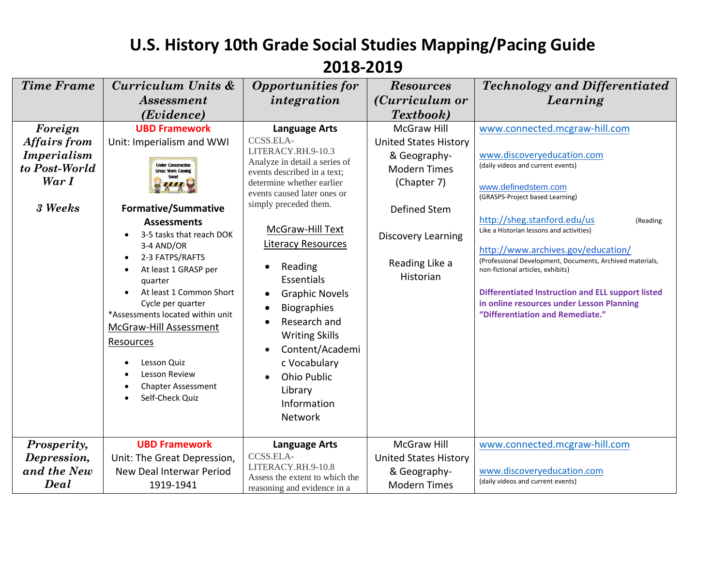#### **U.S. History 10th Grade Social Studies Mapping/Pacing Guide 2018-2019** *Time Frame Curriculum Units & Technology and Differentiated Opportunities for Resources (Curriculum or Learning Assessment integration (Evidence) Textbook) Foreign*  **UBD Framework** McGraw Hill [www.connected.mcgraw-hill.com](http://www.connected.mcgraw-hill.com/) **Language Arts** *Affairs from*  [CCSS.ELA-](http://www.corestandards.org/ELA-Literacy/RH/9-10/3/)Unit: Imperialism and WWI United States History [LITERACY.RH.9-10.3](http://www.corestandards.org/ELA-Literacy/RH/9-10/3/) *Imperialism*  & Geography[www.discoveryeducation.com](http://www.discoveryeducation.com/) Analyze in detail a series of **Under Construction** (daily videos and current events) *to Post-World*  Modern Times **Great Work Coming** events described in a text; Soon! *War I* determine whether earlier (Chapter 7) [www.definedstem.com](http://www.definedstem.com/) events caused later ones or (GRASPS-Project based Learning) simply preceded them. *3 Weeks* **Formative/Summative**  Defined Stem <http://sheg.stanford.edu/us> (Reading **Assessments** McGraw-Hill Text Like a Historian lessons and activities) 3-5 tasks that reach DOK Discovery Learning Literacy Resources 3-4 AND/OR <http://www.archives.gov/education/> 2-3 FATPS/RAFTS (Professional Development, Documents, Archived materials, Reading Like a • Reading At least 1 GRASP per non-fictional articles, exhibits) Historian Essentials quarter At least 1 Common Short **Differentiated Instruction and ELL support listed**  Graphic Novels Cycle per quarter **in online resources under Lesson Planning**  Biographies **"Differentiation and Remediate."** \*Assessments located within unit • Research and McGraw-Hill Assessment Writing Skills Resources Content/Academi Lesson Quiz c Vocabulary Lesson Review Ohio Public Chapter Assessment Library Self-Check Quiz Information Network *Prosperity,*  **UBD Framework** McGraw Hill [www.connected.mcgraw-hill.com](http://www.connected.mcgraw-hill.com/) **Language Arts** *Depression,*  [CCSS.ELA-](http://www.corestandards.org/ELA-Literacy/RH/9-10/8/)Unit: The Great Depression, United States History [LITERACY.RH.9-10.8](http://www.corestandards.org/ELA-Literacy/RH/9-10/8/) *and the New*  New Deal Interwar Period & Geography[www.discoveryeducation.com](http://www.discoveryeducation.com/) Assess the extent to which the (daily videos and current events)*Deal* 1919-1941 Modern Times reasoning and evidence in a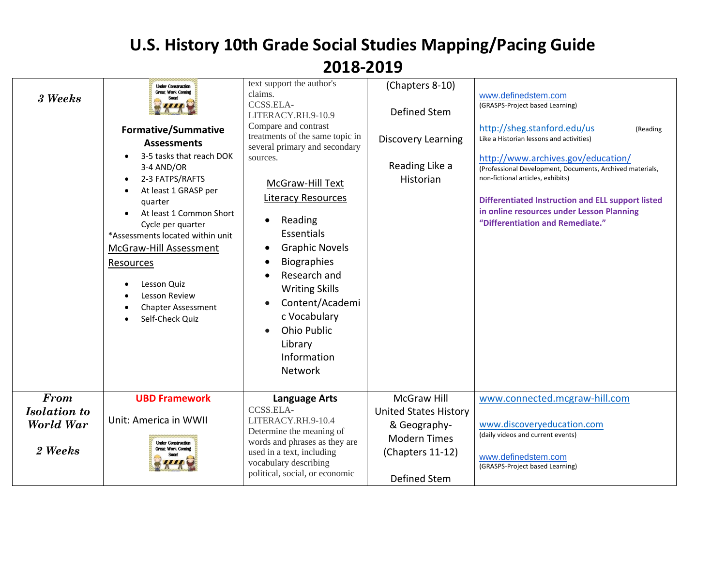| 3 Weeks                                             | <b>Under Construction</b><br><b>Great Work Coming</b><br><b>Formative/Summative</b><br><b>Assessments</b><br>3-5 tasks that reach DOK<br>3-4 AND/OR<br>2-3 FATPS/RAFTS<br>At least 1 GRASP per<br>quarter<br>At least 1 Common Short<br>Cycle per quarter<br>*Assessments located within unit<br>McGraw-Hill Assessment<br>Resources<br>Lesson Quiz<br>Lesson Review<br><b>Chapter Assessment</b><br>Self-Check Quiz<br>$\bullet$ | text support the author's<br>claims.<br>CCSS.ELA-<br>LITERACY.RH.9-10.9<br>Compare and contrast<br>treatments of the same topic in<br>several primary and secondary<br>sources.<br>McGraw-Hill Text<br><b>Literacy Resources</b><br>Reading<br>Essentials<br><b>Graphic Novels</b><br>$\bullet$<br><b>Biographies</b><br>Research and<br><b>Writing Skills</b><br>Content/Academi<br>$\bullet$<br>c Vocabulary<br><b>Ohio Public</b><br>Library<br>Information<br>Network | (Chapters 8-10)<br>Defined Stem<br><b>Discovery Learning</b><br>Reading Like a<br>Historian                                   | www.definedstem.com<br>(GRASPS-Project based Learning)<br>http://sheg.stanford.edu/us<br>(Reading<br>Like a Historian lessons and activities)<br>http://www.archives.gov/education/<br>(Professional Development, Documents, Archived materials,<br>non-fictional articles, exhibits)<br><b>Differentiated Instruction and ELL support listed</b><br>in online resources under Lesson Planning<br>"Differentiation and Remediate." |
|-----------------------------------------------------|-----------------------------------------------------------------------------------------------------------------------------------------------------------------------------------------------------------------------------------------------------------------------------------------------------------------------------------------------------------------------------------------------------------------------------------|---------------------------------------------------------------------------------------------------------------------------------------------------------------------------------------------------------------------------------------------------------------------------------------------------------------------------------------------------------------------------------------------------------------------------------------------------------------------------|-------------------------------------------------------------------------------------------------------------------------------|------------------------------------------------------------------------------------------------------------------------------------------------------------------------------------------------------------------------------------------------------------------------------------------------------------------------------------------------------------------------------------------------------------------------------------|
| From<br><b>Isolation</b> to<br>World War<br>2 Weeks | <b>UBD Framework</b><br>Unit: America in WWII<br><b>Under Construction</b><br><b>Great Work Coming</b>                                                                                                                                                                                                                                                                                                                            | <b>Language Arts</b><br>CCSS.ELA-<br>LITERACY.RH.9-10.4<br>Determine the meaning of<br>words and phrases as they are<br>used in a text, including<br>vocabulary describing<br>political, social, or economic                                                                                                                                                                                                                                                              | <b>McGraw Hill</b><br><b>United States History</b><br>& Geography-<br><b>Modern Times</b><br>(Chapters 11-12)<br>Defined Stem | www.connected.mcgraw-hill.com<br>www.discoveryeducation.com<br>(daily videos and current events)<br>www.definedstem.com<br>(GRASPS-Project based Learning)                                                                                                                                                                                                                                                                         |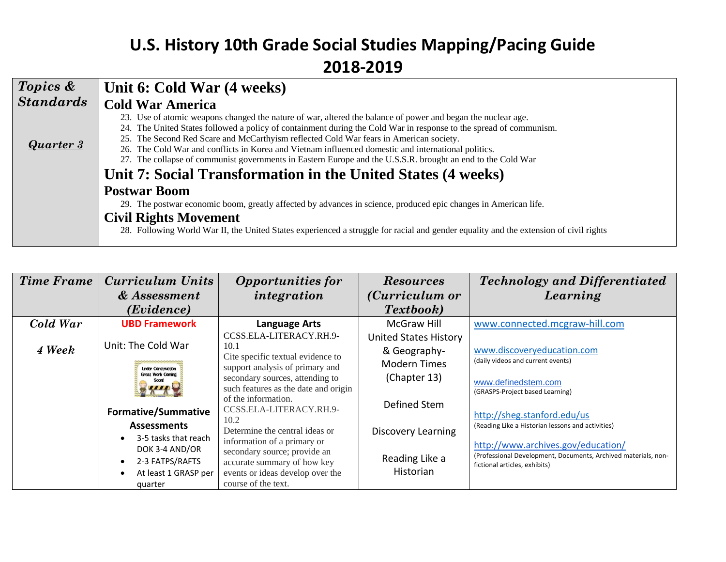| Topics &         | Unit 6: Cold War (4 weeks)                                                                                                                                                                                                                                                                                                                                                                                                                                                                                                                                                                                         |
|------------------|--------------------------------------------------------------------------------------------------------------------------------------------------------------------------------------------------------------------------------------------------------------------------------------------------------------------------------------------------------------------------------------------------------------------------------------------------------------------------------------------------------------------------------------------------------------------------------------------------------------------|
| <b>Standards</b> | <b>Cold War America</b>                                                                                                                                                                                                                                                                                                                                                                                                                                                                                                                                                                                            |
| Quarter 3        | 23. Use of atomic weapons changed the nature of war, altered the balance of power and began the nuclear age.<br>24. The United States followed a policy of containment during the Cold War in response to the spread of communism.<br>25. The Second Red Scare and McCarthyism reflected Cold War fears in American society.<br>26. The Cold War and conflicts in Korea and Vietnam influenced domestic and international politics.<br>27. The collapse of communist governments in Eastern Europe and the U.S.S.R. brought an end to the Cold War<br>Unit 7: Social Transformation in the United States (4 weeks) |
|                  | <b>Postwar Boom</b><br>29. The postwar economic boom, greatly affected by advances in science, produced epic changes in American life.                                                                                                                                                                                                                                                                                                                                                                                                                                                                             |
|                  | <b>Civil Rights Movement</b><br>28. Following World War II, the United States experienced a struggle for racial and gender equality and the extension of civil rights                                                                                                                                                                                                                                                                                                                                                                                                                                              |

| <b>Time Frame</b> | <b>Curriculum Units</b>                                         | <b>Opportunities for</b>                                             | <b>Resources</b>             | <b>Technology and Differentiated</b>                           |
|-------------------|-----------------------------------------------------------------|----------------------------------------------------------------------|------------------------------|----------------------------------------------------------------|
|                   | & Assessment                                                    | integration                                                          | ( <i>Curriculum or</i>       | Learning                                                       |
|                   | ( <i>Evidence</i> )                                             |                                                                      | <b>Textbook</b> )            |                                                                |
| Cold War          | <b>UBD Framework</b>                                            | <b>Language Arts</b>                                                 | McGraw Hill                  | www.connected.mcgraw-hill.com                                  |
|                   |                                                                 | CCSS.ELA-LITERACY.RH.9-                                              | <b>United States History</b> |                                                                |
| 4 Week            | Unit: The Cold War                                              | 10.1                                                                 | & Geography-                 | www.discoveryeducation.com                                     |
|                   | <b>Under Construction</b>                                       | Cite specific textual evidence to<br>support analysis of primary and | <b>Modern Times</b>          | (daily videos and current events)                              |
|                   | <b>Great Work Coming</b><br>Soonl<br><b>Formative/Summative</b> | secondary sources, attending to                                      | (Chapter 13)                 | www.definedstem.com                                            |
|                   |                                                                 | such features as the date and origin<br>of the information.          | Defined Stem                 | (GRASPS-Project based Learning)                                |
|                   |                                                                 | CCSS.ELA-LITERACY.RH.9-                                              |                              | http://sheg.stanford.edu/us                                    |
|                   | <b>Assessments</b>                                              | 10.2<br>Determine the central ideas or                               | <b>Discovery Learning</b>    | (Reading Like a Historian lessons and activities)              |
|                   | 3-5 tasks that reach                                            | information of a primary or                                          |                              | http://www.archives.gov/education/                             |
|                   | DOK 3-4 AND/OR                                                  | secondary source; provide an                                         |                              | (Professional Development, Documents, Archived materials, non- |
|                   | 2-3 FATPS/RAFTS                                                 | accurate summary of how key                                          | Reading Like a               | fictional articles, exhibits)                                  |
|                   | At least 1 GRASP per                                            | events or ideas develop over the                                     | <b>Historian</b>             |                                                                |
|                   | quarter                                                         | course of the text.                                                  |                              |                                                                |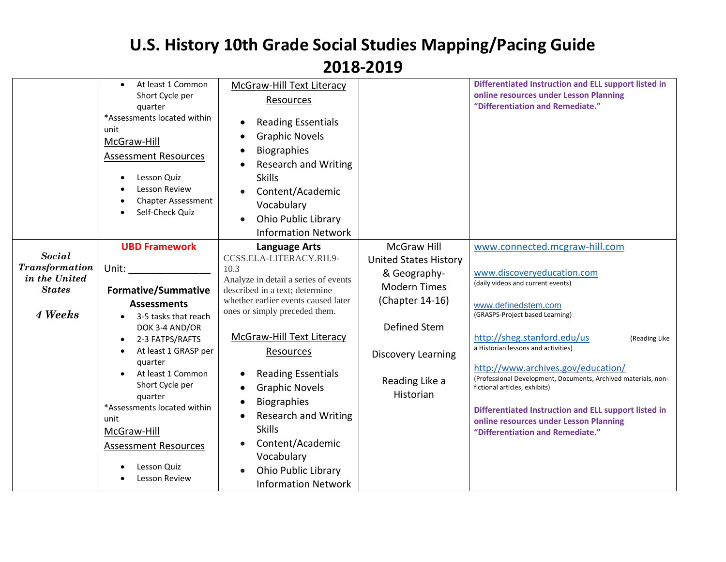|                                                                                     | At least 1 Common<br>$\bullet$<br>Short Cycle per<br>quarter<br>*Assessments located within<br>unit<br>McGraw-Hill<br><b>Assessment Resources</b><br>Lesson Quiz<br>٠<br>Lesson Review<br><b>Chapter Assessment</b><br>Self-Check Quiz                                                                                                                                              | McGraw-Hill Text Literacy<br>Resources<br><b>Reading Essentials</b><br><b>Graphic Novels</b><br><b>Biographies</b><br><b>Research and Writing</b><br><b>Skills</b><br>Content/Academic<br>Vocabulary<br><b>Ohio Public Library</b><br><b>Information Network</b>                                                                                                                                                                                                              |                                                                                                                                                                                          | Differentiated Instruction and ELL support listed in<br>online resources under Lesson Planning<br>"Differentiation and Remediate."                                                                                                                                                                                                                                                                                                                                                                                               |
|-------------------------------------------------------------------------------------|-------------------------------------------------------------------------------------------------------------------------------------------------------------------------------------------------------------------------------------------------------------------------------------------------------------------------------------------------------------------------------------|-------------------------------------------------------------------------------------------------------------------------------------------------------------------------------------------------------------------------------------------------------------------------------------------------------------------------------------------------------------------------------------------------------------------------------------------------------------------------------|------------------------------------------------------------------------------------------------------------------------------------------------------------------------------------------|----------------------------------------------------------------------------------------------------------------------------------------------------------------------------------------------------------------------------------------------------------------------------------------------------------------------------------------------------------------------------------------------------------------------------------------------------------------------------------------------------------------------------------|
| <b>Social</b><br><b>Transformation</b><br>in the United<br><b>States</b><br>4 Weeks | <b>UBD Framework</b><br>Unit:<br><b>Formative/Summative</b><br><b>Assessments</b><br>3-5 tasks that reach<br>DOK 3-4 AND/OR<br>2-3 FATPS/RAFTS<br>$\bullet$<br>At least 1 GRASP per<br>$\bullet$<br>quarter<br>At least 1 Common<br>Short Cycle per<br>quarter<br>*Assessments located within<br>unit<br>McGraw-Hill<br><b>Assessment Resources</b><br>Lesson Quiz<br>Lesson Review | <b>Language Arts</b><br>CCSS.ELA-LITERACY.RH.9-<br>10.3<br>Analyze in detail a series of events<br>described in a text; determine<br>whether earlier events caused later<br>ones or simply preceded them.<br>McGraw-Hill Text Literacy<br><b>Resources</b><br><b>Reading Essentials</b><br><b>Graphic Novels</b><br><b>Biographies</b><br><b>Research and Writing</b><br><b>Skills</b><br>Content/Academic<br>Vocabulary<br>Ohio Public Library<br><b>Information Network</b> | <b>McGraw Hill</b><br><b>United States History</b><br>& Geography-<br><b>Modern Times</b><br>(Chapter 14-16)<br>Defined Stem<br><b>Discovery Learning</b><br>Reading Like a<br>Historian | www.connected.mcgraw-hill.com<br>www.discoveryeducation.com<br>(daily videos and current events)<br>www.definedstem.com<br>(GRASPS-Project based Learning)<br>http://sheg.stanford.edu/us<br>(Reading Like<br>a Historian lessons and activities)<br>http://www.archives.gov/education/<br>(Professional Development, Documents, Archived materials, non-<br>fictional articles, exhibits)<br>Differentiated Instruction and ELL support listed in<br>online resources under Lesson Planning<br>"Differentiation and Remediate." |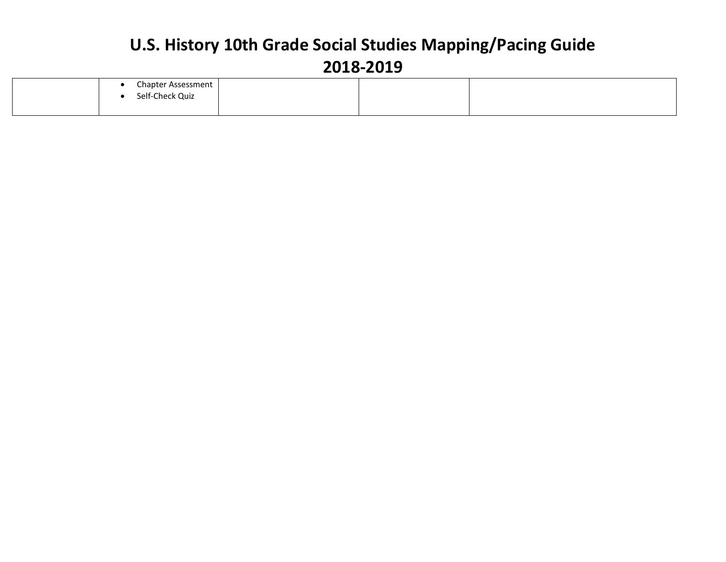|  | Chapter Assessment<br>Self-Check Quiz |  |  |
|--|---------------------------------------|--|--|
|  |                                       |  |  |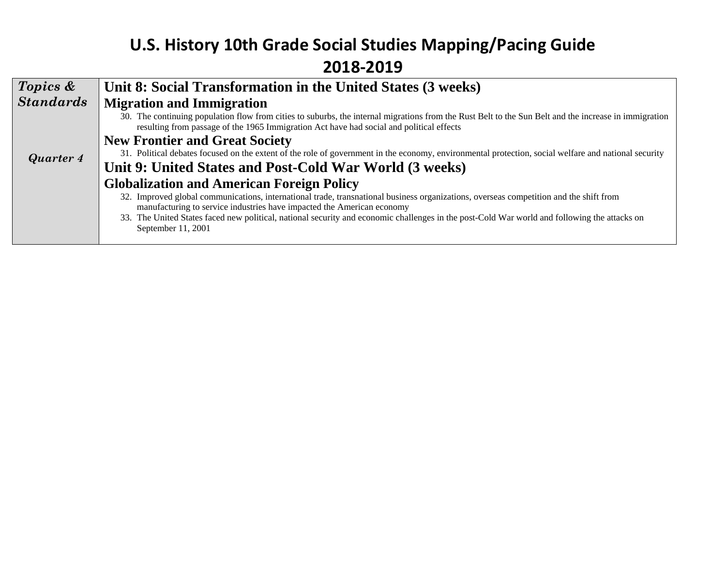| 30. The continuing population flow from cities to suburbs, the internal migrations from the Rust Belt to the Sun Belt and the increase in immigration |
|-------------------------------------------------------------------------------------------------------------------------------------------------------|
|                                                                                                                                                       |
| 31. Political debates focused on the extent of the role of government in the economy, environmental protection, social welfare and national security  |
|                                                                                                                                                       |
|                                                                                                                                                       |
| 32. Improved global communications, international trade, transnational business organizations, overseas competition and the shift from                |
| 33. The United States faced new political, national security and economic challenges in the post-Cold War world and following the attacks on          |
|                                                                                                                                                       |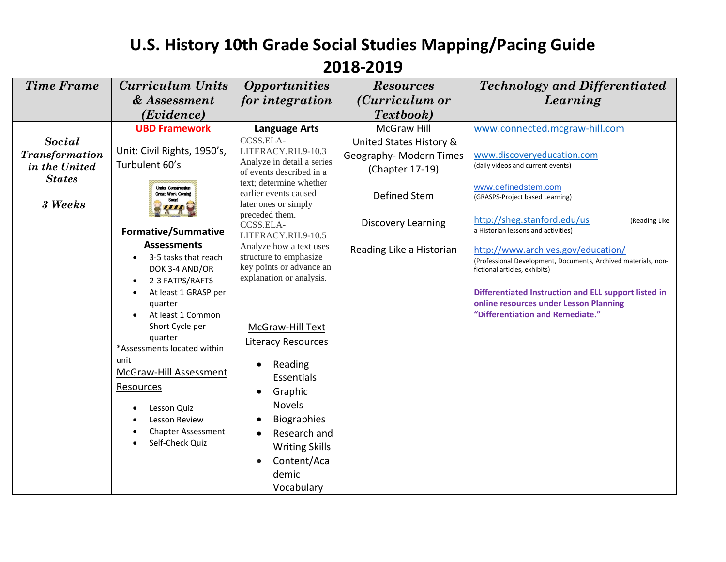| <b>Time Frame</b>        | <b>Curriculum Units</b>                                                                                                                                                                                                                                                                                                                                 | <i><b>Opportunities</b></i>                                                                                                                                                                                                                                                                                                                    | <b>Resources</b>         | <b>Technology and Differentiated</b>                                                                                                                                                                                                                                        |
|--------------------------|---------------------------------------------------------------------------------------------------------------------------------------------------------------------------------------------------------------------------------------------------------------------------------------------------------------------------------------------------------|------------------------------------------------------------------------------------------------------------------------------------------------------------------------------------------------------------------------------------------------------------------------------------------------------------------------------------------------|--------------------------|-----------------------------------------------------------------------------------------------------------------------------------------------------------------------------------------------------------------------------------------------------------------------------|
|                          | & Assessment                                                                                                                                                                                                                                                                                                                                            | for integration                                                                                                                                                                                                                                                                                                                                | ( <i>Curriculum or</i>   | Learning                                                                                                                                                                                                                                                                    |
|                          | (Evidence)                                                                                                                                                                                                                                                                                                                                              |                                                                                                                                                                                                                                                                                                                                                | Textbook)                |                                                                                                                                                                                                                                                                             |
|                          | <b>UBD Framework</b>                                                                                                                                                                                                                                                                                                                                    | <b>Language Arts</b>                                                                                                                                                                                                                                                                                                                           | <b>McGraw Hill</b>       | www.connected.mcgraw-hill.com                                                                                                                                                                                                                                               |
| Social                   |                                                                                                                                                                                                                                                                                                                                                         | CCSS.ELA-                                                                                                                                                                                                                                                                                                                                      | United States History &  |                                                                                                                                                                                                                                                                             |
| <b>Transformation</b>    | Unit: Civil Rights, 1950's,                                                                                                                                                                                                                                                                                                                             | LITERACY.RH.9-10.3<br>Analyze in detail a series                                                                                                                                                                                                                                                                                               | Geography- Modern Times  | www.discoveryeducation.com                                                                                                                                                                                                                                                  |
| in the United            | Turbulent 60's                                                                                                                                                                                                                                                                                                                                          | of events described in a                                                                                                                                                                                                                                                                                                                       | (Chapter 17-19)          | (daily videos and current events)                                                                                                                                                                                                                                           |
| <b>States</b><br>3 Weeks | <b>Under Construction</b><br><b>Great Work Coming</b>                                                                                                                                                                                                                                                                                                   | text; determine whether<br>earlier events caused<br>later ones or simply                                                                                                                                                                                                                                                                       | Defined Stem             | www.definedstem.com<br>(GRASPS-Project based Learning)                                                                                                                                                                                                                      |
|                          | <b>Formative/Summative</b>                                                                                                                                                                                                                                                                                                                              | preceded them.<br>CCSS.ELA-<br>LITERACY.RH.9-10.5                                                                                                                                                                                                                                                                                              | Discovery Learning       | http://sheg.stanford.edu/us<br>(Reading Like<br>a Historian lessons and activities)                                                                                                                                                                                         |
|                          | <b>Assessments</b><br>3-5 tasks that reach<br>DOK 3-4 AND/OR<br>2-3 FATPS/RAFTS<br>$\bullet$<br>At least 1 GRASP per<br>quarter<br>At least 1 Common<br>Short Cycle per<br>quarter<br>*Assessments located within<br>unit<br>McGraw-Hill Assessment<br><b>Resources</b><br>Lesson Quiz<br>Lesson Review<br><b>Chapter Assessment</b><br>Self-Check Quiz | Analyze how a text uses<br>structure to emphasize<br>key points or advance an<br>explanation or analysis.<br>McGraw-Hill Text<br><b>Literacy Resources</b><br>Reading<br>$\bullet$<br>Essentials<br>Graphic<br><b>Novels</b><br><b>Biographies</b><br>Research and<br><b>Writing Skills</b><br>Content/Aca<br>$\bullet$<br>demic<br>Vocabulary | Reading Like a Historian | http://www.archives.gov/education/<br>(Professional Development, Documents, Archived materials, non-<br>fictional articles, exhibits)<br>Differentiated Instruction and ELL support listed in<br>online resources under Lesson Planning<br>"Differentiation and Remediate." |